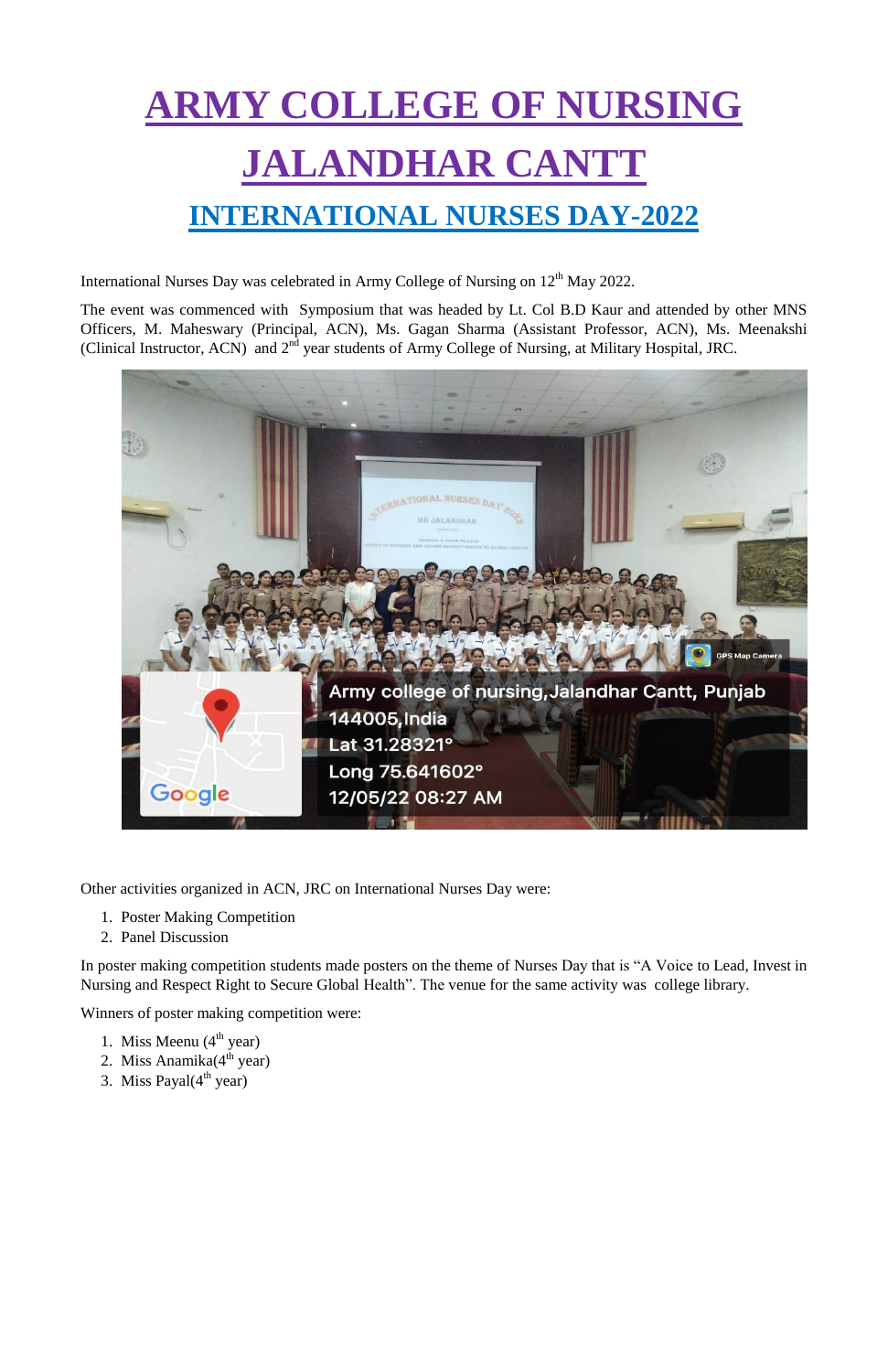## **ARMY COLLEGE OF NURSING JALANDHAR CANTT INTERNATIONAL NURSES DAY-2022**

International Nurses Day was celebrated in Army College of Nursing on 12<sup>th</sup> May 2022.

The event was commenced with Symposium that was headed by Lt. Col B.D Kaur and attended by other MNS Officers, M. Maheswary (Principal, ACN), Ms. Gagan Sharma (Assistant Professor, ACN), Ms. Meenakshi (Clinical Instructor, ACN) and 2<sup>nd</sup> year students of Army College of Nursing, at Military Hospital, JRC.



Other activities organized in ACN, JRC on International Nurses Day were:

- 1. Poster Making Competition
- 2. Panel Discussion

In poster making competition students made posters on the theme of Nurses Day that is "A Voice to Lead, Invest in Nursing and Respect Right to Secure Global Health". The venue for the same activity was college library.

Winners of poster making competition were:

- 1. Miss Meenu  $(4<sup>th</sup>$  year)
- 2. Miss Anamika $(4<sup>th</sup>$  year)
- 3. Miss Payal $(4<sup>th</sup> year)$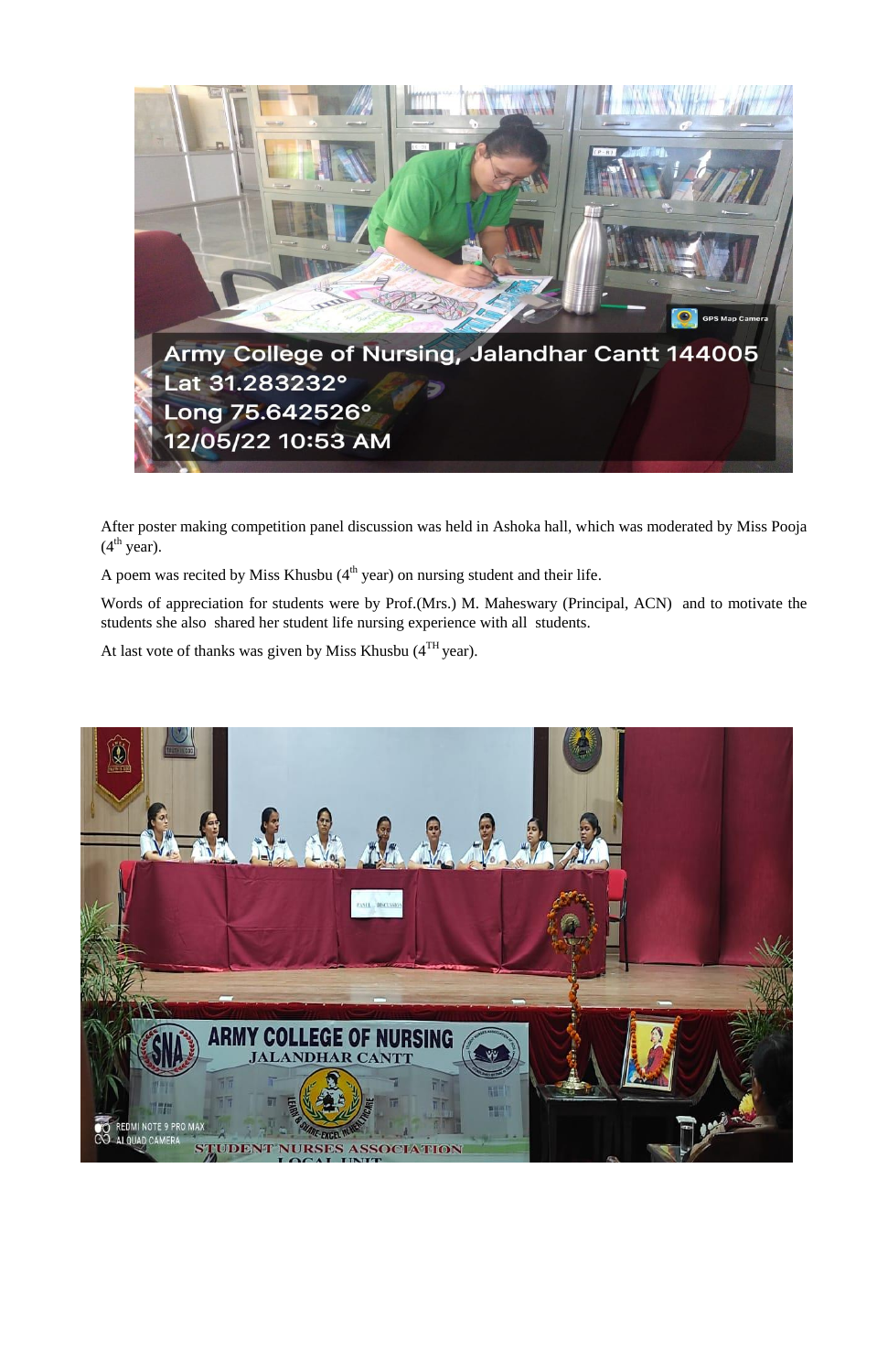

After poster making competition panel discussion was held in Ashoka hall, which was moderated by Miss Pooja  $(4<sup>th</sup> year).$ 

A poem was recited by Miss Khusbu  $(4<sup>th</sup>$  year) on nursing student and their life.

Words of appreciation for students were by Prof.(Mrs.) M. Maheswary (Principal, ACN) and to motivate the students she also shared her student life nursing experience with all students.

At last vote of thanks was given by Miss Khusbu  $(4^{TH})$ year).